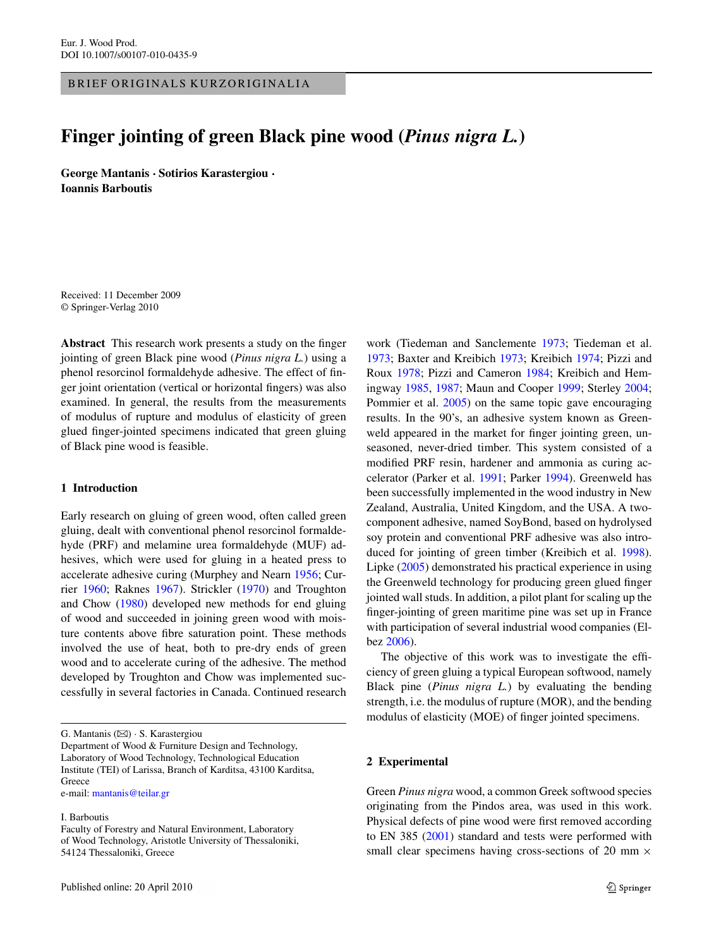BRIEF ORIGINALS KURZORIGINALIA

# **Finger jointing of green Black pine wood (***Pinus nigra L.***)**

**George Mantanis · Sotirios Karastergiou · Ioannis Barboutis**

Received: 11 December 2009 © Springer-Verlag 2010

**Abstract** This research work presents a study on the finger jointing of green Black pine wood (*Pinus nigra L.*) using a phenol resorcinol formaldehyde adhesive. The effect of finger joint orientation (vertical or horizontal fingers) was also examined. In general, the results from the measurements of modulus of rupture and modulus of elasticity of green glued finger-jointed specimens indicated that green gluing of Black pine wood is feasible.

# **1 Introduction**

Early research on gluing of green wood, often called green gluing, dealt with conventional phenol resorcinol formaldehyde (PRF) and melamine urea formaldehyde (MUF) adhesives, which were used for gluing in a heated press to accelerate adhesive curing (Murphey and Nearn [1956](#page-2-0); Currier [1960;](#page-1-0) Raknes [1967](#page-2-0)). Strickler [\(1970](#page-2-0)) and Troughton and Chow ([1980\)](#page-2-0) developed new methods for end gluing of wood and succeeded in joining green wood with moisture contents above fibre saturation point. These methods involved the use of heat, both to pre-dry ends of green wood and to accelerate curing of the adhesive. The method developed by Troughton and Chow was implemented successfully in several factories in Canada. Continued research

Department of Wood & Furniture Design and Technology, Laboratory of Wood Technology, Technological Education Institute (TEI) of Larissa, Branch of Karditsa, 43100 Karditsa, **Greece** 

e-mail: [mantanis@teilar.gr](mailto:mantanis@teilar.gr)

### I. Barboutis

work (Tiedeman and Sanclemente [1973;](#page-2-0) Tiedeman et al. [1973;](#page-2-0) Baxter and Kreibich [1973;](#page-1-0) Kreibich [1974;](#page-2-0) Pizzi and Roux [1978;](#page-2-0) Pizzi and Cameron [1984;](#page-2-0) Kreibich and Hemingway [1985,](#page-2-0) [1987](#page-2-0); Maun and Cooper [1999;](#page-2-0) Sterley [2004](#page-2-0); Pommier et al. [2005\)](#page-2-0) on the same topic gave encouraging results. In the 90's, an adhesive system known as Greenweld appeared in the market for finger jointing green, unseasoned, never-dried timber. This system consisted of a modified PRF resin, hardener and ammonia as curing accelerator (Parker et al. [1991;](#page-2-0) Parker [1994\)](#page-2-0). Greenweld has been successfully implemented in the wood industry in New Zealand, Australia, United Kingdom, and the USA. A twocomponent adhesive, named SoyBond, based on hydrolysed soy protein and conventional PRF adhesive was also introduced for jointing of green timber (Kreibich et al. [1998](#page-2-0)). Lipke ([2005\)](#page-2-0) demonstrated his practical experience in using the Greenweld technology for producing green glued finger jointed wall studs. In addition, a pilot plant for scaling up the finger-jointing of green maritime pine was set up in France with participation of several industrial wood companies (Elbez [2006](#page-2-0)).

The objective of this work was to investigate the efficiency of green gluing a typical European softwood, namely Black pine (*Pinus nigra L.*) by evaluating the bending strength, i.e. the modulus of rupture (MOR), and the bending modulus of elasticity (MOE) of finger jointed specimens.

## **2 Experimental**

Green *Pinus nigra* wood, a common Greek softwood species originating from the Pindos area, was used in this work. Physical defects of pine wood were first removed according to EN 385 ([2001](#page-2-0)) standard and tests were performed with small clear specimens having cross-sections of 20 mm  $\times$ 

G. Mantanis ( $\boxtimes$ ) · S. Karastergiou

Faculty of Forestry and Natural Environment, Laboratory of Wood Technology, Aristotle University of Thessaloniki, 54124 Thessaloniki, Greece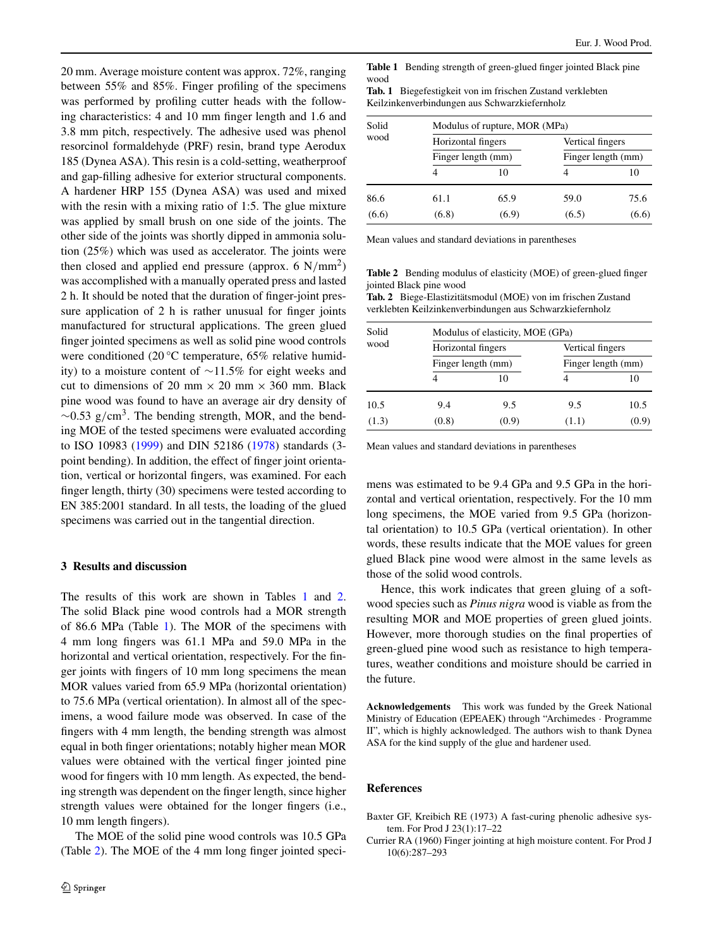<span id="page-1-0"></span>20 mm. Average moisture content was approx. 72%, ranging between 55% and 85%. Finger profiling of the specimens was performed by profiling cutter heads with the following characteristics: 4 and 10 mm finger length and 1.6 and 3.8 mm pitch, respectively. The adhesive used was phenol resorcinol formaldehyde (PRF) resin, brand type Aerodux 185 (Dynea ASA). This resin is a cold-setting, weatherproof and gap-filling adhesive for exterior structural components. A hardener HRP 155 (Dynea ASA) was used and mixed with the resin with a mixing ratio of 1:5. The glue mixture was applied by small brush on one side of the joints. The other side of the joints was shortly dipped in ammonia solution (25%) which was used as accelerator. The joints were then closed and applied end pressure (approx.  $6 \text{ N/mm}^2$ ) was accomplished with a manually operated press and lasted 2 h. It should be noted that the duration of finger-joint pressure application of 2 h is rather unusual for finger joints manufactured for structural applications. The green glued finger jointed specimens as well as solid pine wood controls were conditioned (20 °C temperature, 65% relative humidity) to a moisture content of ∼11.5% for eight weeks and cut to dimensions of 20 mm  $\times$  20 mm  $\times$  360 mm. Black pine wood was found to have an average air dry density of ∼0.53 g*/*cm3. The bending strength, MOR, and the bending MOE of the tested specimens were evaluated according to ISO 10983 ([1999\)](#page-2-0) and DIN 52186 ([1978\)](#page-2-0) standards (3 point bending). In addition, the effect of finger joint orientation, vertical or horizontal fingers, was examined. For each finger length, thirty (30) specimens were tested according to EN 385:2001 standard. In all tests, the loading of the glued specimens was carried out in the tangential direction.

# **3 Results and discussion**

The results of this work are shown in Tables 1 and 2. The solid Black pine wood controls had a MOR strength of 86.6 MPa (Table 1). The MOR of the specimens with 4 mm long fingers was 61.1 MPa and 59.0 MPa in the horizontal and vertical orientation, respectively. For the finger joints with fingers of 10 mm long specimens the mean MOR values varied from 65.9 MPa (horizontal orientation) to 75.6 MPa (vertical orientation). In almost all of the specimens, a wood failure mode was observed. In case of the fingers with 4 mm length, the bending strength was almost equal in both finger orientations; notably higher mean MOR values were obtained with the vertical finger jointed pine wood for fingers with 10 mm length. As expected, the bending strength was dependent on the finger length, since higher strength values were obtained for the longer fingers (i.e., 10 mm length fingers).

The MOE of the solid pine wood controls was 10.5 GPa (Table 2). The MOE of the 4 mm long finger jointed speci**Table 1** Bending strength of green-glued finger jointed Black pine wood

**Tab. 1** Biegefestigkeit von im frischen Zustand verklebten Keilzinkenverbindungen aus Schwarzkiefernholz

| Solid<br>wood | Modulus of rupture, MOR (MPa)            |       |                                        |       |      |
|---------------|------------------------------------------|-------|----------------------------------------|-------|------|
|               | Horizontal fingers<br>Finger length (mm) |       | Vertical fingers<br>Finger length (mm) |       |      |
|               |                                          |       |                                        |       | 4    |
|               | 86.6                                     | 61.1  | 65.9                                   | 59.0  | 75.6 |
| (6.6)         | (6.8)                                    | (6.9) | (6.5)                                  | (6.6) |      |

Mean values and standard deviations in parentheses

**Table 2** Bending modulus of elasticity (MOE) of green-glued finger jointed Black pine wood

**Tab. 2** Biege-Elastizitätsmodul (MOE) von im frischen Zustand verklebten Keilzinkenverbindungen aus Schwarzkiefernholz

| Solid<br>wood | Modulus of elasticity, MOE (GPa)         |       |                                        |       |      |
|---------------|------------------------------------------|-------|----------------------------------------|-------|------|
|               | Horizontal fingers<br>Finger length (mm) |       | Vertical fingers<br>Finger length (mm) |       |      |
|               |                                          |       |                                        |       |      |
|               | 10.5                                     | 9.4   | 9.5                                    | 9.5   | 10.5 |
| (1.3)         | (0.8)                                    | (0.9) | (1.1)                                  | (0.9) |      |

Mean values and standard deviations in parentheses

mens was estimated to be 9.4 GPa and 9.5 GPa in the horizontal and vertical orientation, respectively. For the 10 mm long specimens, the MOE varied from 9.5 GPa (horizontal orientation) to 10.5 GPa (vertical orientation). In other words, these results indicate that the MOE values for green glued Black pine wood were almost in the same levels as those of the solid wood controls.

Hence, this work indicates that green gluing of a softwood species such as *Pinus nigra* wood is viable as from the resulting MOR and MOE properties of green glued joints. However, more thorough studies on the final properties of green-glued pine wood such as resistance to high temperatures, weather conditions and moisture should be carried in the future.

**Acknowledgements** This work was funded by the Greek National Ministry of Education (EPEAEK) through "Archimedes · Programme II", which is highly acknowledged. The authors wish to thank Dynea ASA for the kind supply of the glue and hardener used.

### **References**

Baxter GF, Kreibich RE (1973) A fast-curing phenolic adhesive system. For Prod J 23(1):17–22

Currier RA (1960) Finger jointing at high moisture content. For Prod J 10(6):287–293